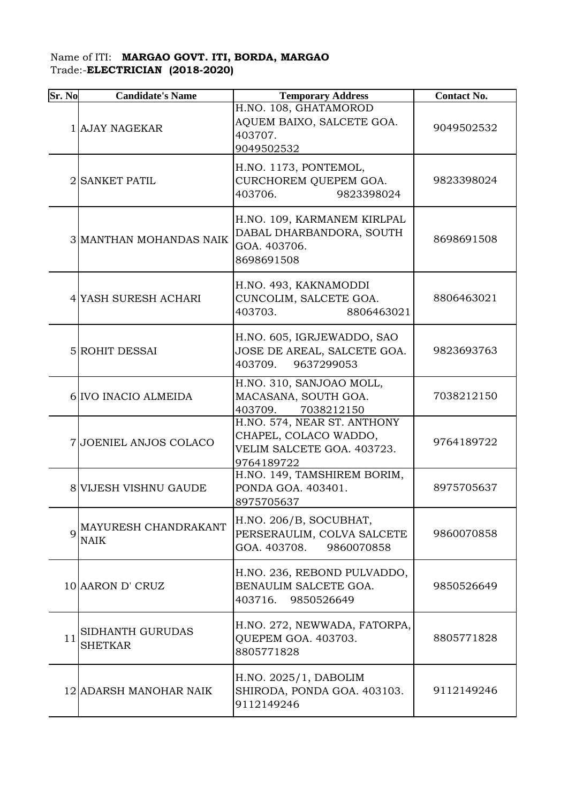## Name of ITI: **MARGAO GOVT. ITI, BORDA, MARGAO**  Trade:-**ELECTRICIAN (2018-2020)**

| Sr. No      | <b>Candidate's Name</b>             | <b>Temporary Address</b>                                                                         | <b>Contact No.</b> |
|-------------|-------------------------------------|--------------------------------------------------------------------------------------------------|--------------------|
|             | 1 AJAY NAGEKAR                      | H.NO. 108, GHATAMOROD<br>AQUEM BAIXO, SALCETE GOA.<br>403707.<br>9049502532                      | 9049502532         |
|             | 2 SANKET PATIL                      | H.NO. 1173, PONTEMOL,<br>CURCHOREM QUEPEM GOA.<br>403706.<br>9823398024                          | 9823398024         |
|             | 3 MANTHAN MOHANDAS NAIK             | H.NO. 109, KARMANEM KIRLPAL<br>DABAL DHARBANDORA, SOUTH<br>GOA. 403706.<br>8698691508            | 8698691508         |
|             | 4 YASH SURESH ACHARI                | H.NO. 493, KAKNAMODDI<br>CUNCOLIM, SALCETE GOA.<br>403703.<br>8806463021                         | 8806463021         |
|             | 5 ROHIT DESSAI                      | H.NO. 605, IGRJEWADDO, SAO<br>JOSE DE AREAL, SALCETE GOA.<br>403709.<br>9637299053               | 9823693763         |
|             | 6 IVO INACIO ALMEIDA                | H.NO. 310, SANJOAO MOLL,<br>MACASANA, SOUTH GOA.<br>403709.<br>7038212150                        | 7038212150         |
|             | 7 JOENIEL ANJOS COLACO              | H.NO. 574, NEAR ST. ANTHONY<br>CHAPEL, COLACO WADDO,<br>VELIM SALCETE GOA. 403723.<br>9764189722 | 9764189722         |
|             | 8 VIJESH VISHNU GAUDE               | H.NO. 149, TAMSHIREM BORIM,<br>PONDA GOA. 403401.<br>8975705637                                  | 8975705637         |
| $\mathbf Q$ | MAYURESH CHANDRAKANT<br><b>NAIK</b> | H.NO. 206/B, SOCUBHAT,<br>PERSERAULIM, COLVA SALCETE<br>GOA. 403708.<br>9860070858               | 9860070858         |
|             | 10 AARON D' CRUZ                    | H.NO. 236, REBOND PULVADDO,<br>BENAULIM SALCETE GOA.<br>403716.<br>9850526649                    | 9850526649         |
| 11          | SIDHANTH GURUDAS<br><b>SHETKAR</b>  | H.NO. 272, NEWWADA, FATORPA,<br>QUEPEM GOA. 403703.<br>8805771828                                | 8805771828         |
|             | 12 ADARSH MANOHAR NAIK              | H.NO. 2025/1, DABOLIM<br>SHIRODA, PONDA GOA. 403103.<br>9112149246                               | 9112149246         |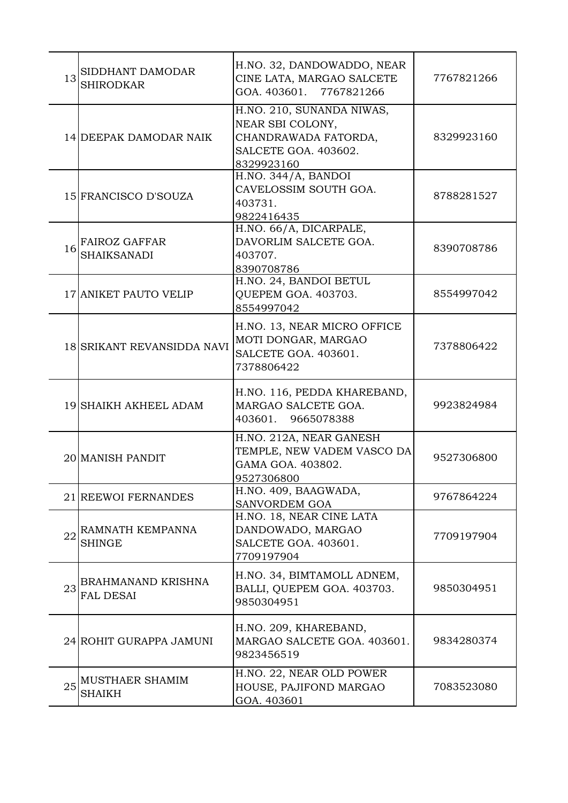| 13 | SIDDHANT DAMODAR<br><b>SHIRODKAR</b>       | H.NO. 32, DANDOWADDO, NEAR<br>CINE LATA, MARGAO SALCETE<br>GOA. 403601. 7767821266                          | 7767821266 |
|----|--------------------------------------------|-------------------------------------------------------------------------------------------------------------|------------|
|    | 14 DEEPAK DAMODAR NAIK                     | H.NO. 210, SUNANDA NIWAS,<br>NEAR SBI COLONY,<br>CHANDRAWADA FATORDA,<br>SALCETE GOA. 403602.<br>8329923160 | 8329923160 |
|    | 15 FRANCISCO D'SOUZA                       | $H.NO. 344/A,$ $\overline{BANDOI}$<br>CAVELOSSIM SOUTH GOA.<br>403731.<br>9822416435                        | 8788281527 |
| 16 | <b>FAIROZ GAFFAR</b><br><b>SHAIKSANADI</b> | H.NO. 66/A, DICARPALE,<br>DAVORLIM SALCETE GOA.<br>403707.<br>8390708786                                    | 8390708786 |
|    | <b>17 ANIKET PAUTO VELIP</b>               | H.NO. 24, BANDOI BETUL<br>QUEPEM GOA. 403703.<br>8554997042                                                 | 8554997042 |
|    | 18 SRIKANT REVANSIDDA NAVI                 | H.NO. 13, NEAR MICRO OFFICE<br>MOTI DONGAR, MARGAO<br>SALCETE GOA. 403601.<br>7378806422                    | 7378806422 |
|    | 19 SHAIKH AKHEEL ADAM                      | H.NO. 116, PEDDA KHAREBAND,<br>MARGAO SALCETE GOA.<br>9665078388<br>403601.                                 | 9923824984 |
|    |                                            | H.NO. 212A, NEAR GANESH                                                                                     |            |
|    | 20 MANISH PANDIT                           | TEMPLE, NEW VADEM VASCO DA<br>GAMA GOA. 403802.<br>9527306800                                               | 9527306800 |
|    | 21 REEWOI FERNANDES                        | H.NO. 409, BAAGWADA,<br>SANVORDEM GOA                                                                       | 9767864224 |
| 22 | RAMNATH KEMPANNA<br><b>SHINGE</b>          | H.NO. 18, NEAR CINE LATA<br>DANDOWADO, MARGAO<br>SALCETE GOA. 403601.<br>7709197904                         | 7709197904 |
| 23 | BRAHMANAND KRISHNA<br><b>FAL DESAI</b>     | H.NO. 34, BIMTAMOLL ADNEM,<br>BALLI, QUEPEM GOA. 403703.<br>9850304951                                      | 9850304951 |
|    | 24 ROHIT GURAPPA JAMUNI                    | H.NO. 209, KHAREBAND,<br>MARGAO SALCETE GOA. 403601.<br>9823456519                                          | 9834280374 |